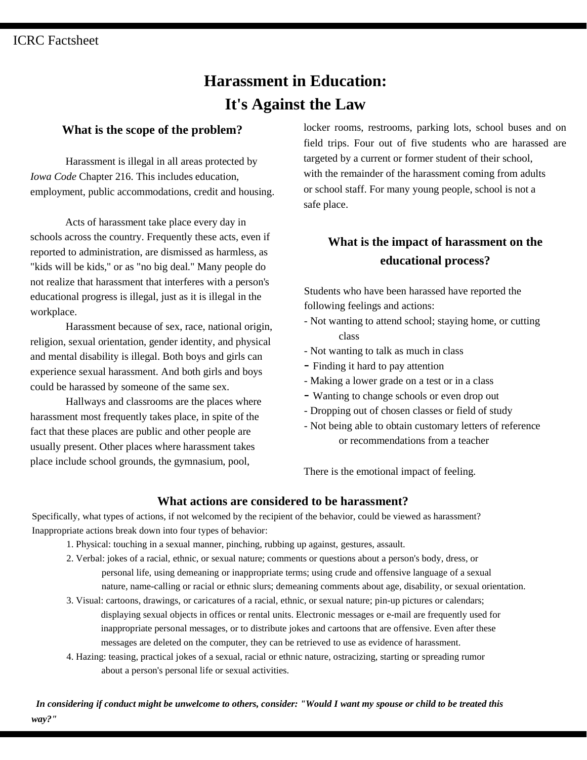# **Harassment in Education: It's Against the Law**

## **What is the scope of the problem?**

Harassment is illegal in all areas protected by *Iowa Code* Chapter 216. This includes education, employment, public accommodations, credit and housing.

Acts of harassment take place every day in schools across the country. Frequently these acts, even if reported to administration, are dismissed as harmless, as "kids will be kids," or as "no big deal." Many people do not realize that harassment that interferes with a person's educational progress is illegal, just as it is illegal in the workplace.

Harassment because of sex, race, national origin, religion, sexual orientation, gender identity, and physical and mental disability is illegal. Both boys and girls can experience sexual harassment. And both girls and boys could be harassed by someone of the same sex.

Hallways and classrooms are the places where harassment most frequently takes place, in spite of the fact that these places are public and other people are usually present. Other places where harassment takes place include school grounds, the gymnasium, pool,

locker rooms, restrooms, parking lots, school buses and on field trips. Four out of five students who are harassed are targeted by a current or former student of their school, with the remainder of the harassment coming from adults or school staff. For many young people, school is not a safe place.

# **What is the impact of harassment on the educational process?**

Students who have been harassed have reported the following feelings and actions:

- Not wanting to attend school; staying home, or cutting class
- Not wanting to talk as much in class
- Finding it hard to pay attention
- Making a lower grade on a test or in a class
- Wanting to change schools or even drop out
- Dropping out of chosen classes or field of study
- Not being able to obtain customary letters of reference or recommendations from a teacher

There is the emotional impact of feeling.

### **What actions are considered to be harassment?**

Specifically, what types of actions, if not welcomed by the recipient of the behavior, could be viewed as harassment? Inappropriate actions break down into four types of behavior:

- 1. Physical: touching in a sexual manner, pinching, rubbing up against, gestures, assault.
- 2. Verbal: jokes of a racial, ethnic, or sexual nature; comments or questions about a person's body, dress, or personal life, using demeaning or inappropriate terms; using crude and offensive language of a sexual nature, name-calling or racial or ethnic slurs; demeaning comments about age, disability, or sexual orientation.
- 3. Visual: cartoons, drawings, or caricatures of a racial, ethnic, or sexual nature; pin-up pictures or calendars; displaying sexual objects in offices or rental units. Electronic messages or e-mail are frequently used for inappropriate personal messages, or to distribute jokes and cartoons that are offensive. Even after these messages are deleted on the computer, they can be retrieved to use as evidence of harassment.
- 4. Hazing: teasing, practical jokes of a sexual, racial or ethnic nature, ostracizing, starting or spreading rumor about a person's personal life or sexual activities.

*way?" In considering if conduct might be unwelcome to others, consider: "Would I want my spouse or child to be treated this*